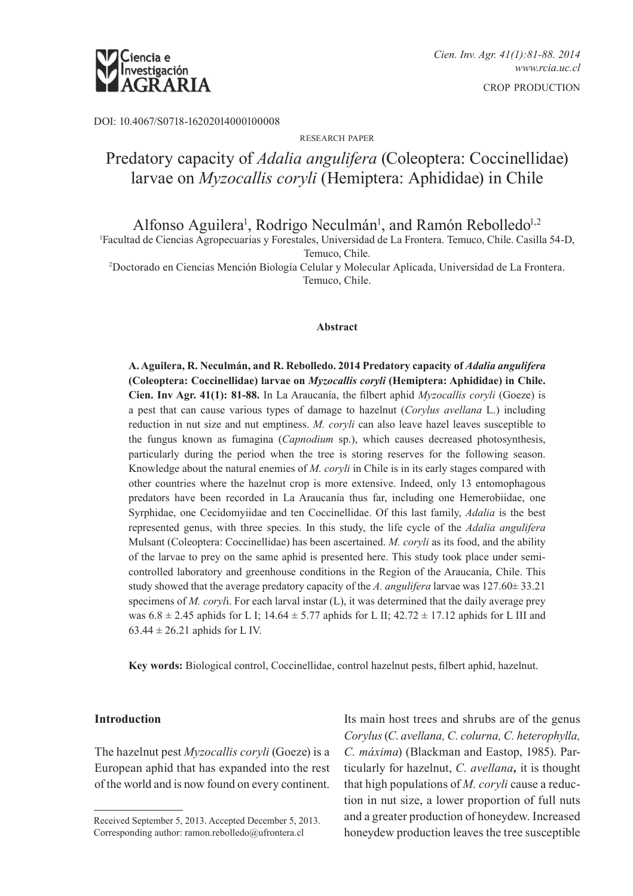

DOI: 10.4067/S0718-16202014000100008

#### research paper

# Predatory capacity of *Adalia angulifera* (Coleoptera: Coccinellidae) larvae on *Myzocallis coryli* (Hemiptera: Aphididae) in Chile

Alfonso Aguilera<sup>1</sup>, Rodrigo Neculmán<sup>1</sup>, and Ramón Rebolledo<sup>1,2</sup>

1 Facultad de Ciencias Agropecuarias y Forestales, Universidad de La Frontera. Temuco, Chile. Casilla 54-D,

Temuco, Chile. 2 Doctorado en Ciencias Mención Biología Celular y Molecular Aplicada, Universidad de La Frontera. Temuco, Chile.

#### **Abstract**

**A. Aguilera, R. Neculmán, and R. Rebolledo. 2014 Predatory capacity of** *Adalia angulifera* **(Coleoptera: Coccinellidae) larvae on** *Myzocallis coryli* **(Hemiptera: Aphididae) in Chile. Cien. Inv Agr. 41(1): 81-88.** In La Araucanía, the filbert aphid *Myzocallis coryli* (Goeze) is a pest that can cause various types of damage to hazelnut (*Corylus avellana* L.) including reduction in nut size and nut emptiness. *M. coryli* can also leave hazel leaves susceptible to the fungus known as fumagina (*Capnodium* sp.), which causes decreased photosynthesis, particularly during the period when the tree is storing reserves for the following season. Knowledge about the natural enemies of *M. coryli* in Chile is in its early stages compared with other countries where the hazelnut crop is more extensive. Indeed, only 13 entomophagous predators have been recorded in La Araucanía thus far, including one Hemerobiidae, one Syrphidae, one Cecidomyiidae and ten Coccinellidae. Of this last family, *Adalia* is the best represented genus, with three species. In this study, the life cycle of the *Adalia angulifera* Mulsant (Coleoptera: Coccinellidae) has been ascertained. *M. coryli* as its food, and the ability of the larvae to prey on the same aphid is presented here. This study took place under semicontrolled laboratory and greenhouse conditions in the Region of the Araucanía, Chile. This study showed that the average predatory capacity of the *A. angulifera* larvae was 127.60± 33.21 specimens of *M. coryl*i. For each larval instar (L), it was determined that the daily average prey was  $6.8 \pm 2.45$  aphids for L I; 14.64  $\pm$  5.77 aphids for L II; 42.72  $\pm$  17.12 aphids for L III and  $63.44 \pm 26.21$  aphids for L IV.

**Key words:** Biological control, Coccinellidae, control hazelnut pests, filbert aphid, hazelnut.

# **Introduction**

The hazelnut pest *Myzocallis coryli* (Goeze) is a European aphid that has expanded into the rest of the world and is now found on every continent.

Its main host trees and shrubs are of the genus *Corylus* (*C*. *avellana, C. colurna, C. heterophylla, C. máxima*) (Blackman and Eastop, 1985). Particularly for hazelnut, *C. avellana,* it is thought that high populations of *M. coryli* cause a reduction in nut size, a lower proportion of full nuts and a greater production of honeydew. Increased honeydew production leaves the tree susceptible

Received September 5, 2013. Accepted December 5, 2013. Corresponding author: ramon.rebolledo@ufrontera.cl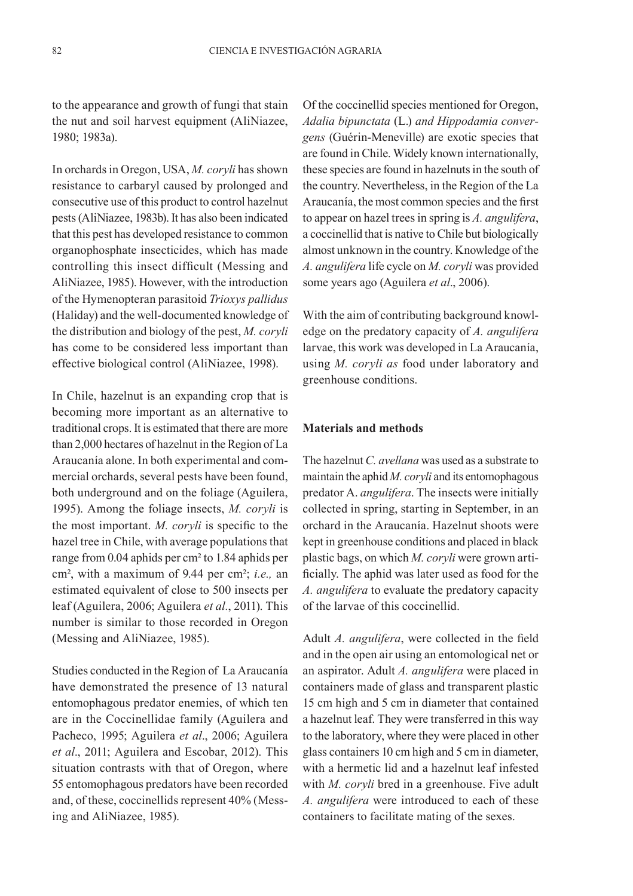to the appearance and growth of fungi that stain the nut and soil harvest equipment (AliNiazee, 1980; 1983a).

In orchards in Oregon, USA, *M. coryli* has shown resistance to carbaryl caused by prolonged and consecutive use of this product to control hazelnut pests (AliNiazee, 1983b). It has also been indicated that this pest has developed resistance to common organophosphate insecticides, which has made controlling this insect difficult (Messing and AliNiazee, 1985). However, with the introduction of the Hymenopteran parasitoid *Trioxys pallidus* (Haliday) and the well-documented knowledge of the distribution and biology of the pest, *M. coryli* has come to be considered less important than effective biological control (AliNiazee, 1998).

In Chile, hazelnut is an expanding crop that is becoming more important as an alternative to traditional crops. It is estimated that there are more than 2,000 hectares of hazelnut in the Region of La Araucanía alone. In both experimental and commercial orchards, several pests have been found, both underground and on the foliage (Aguilera, 1995). Among the foliage insects, *M. coryli* is the most important. *M. coryli* is specific to the hazel tree in Chile, with average populations that range from 0.04 aphids per cm² to 1.84 aphids per cm², with a maximum of 9.44 per cm²; *i.e.,* an estimated equivalent of close to 500 insects per leaf (Aguilera, 2006; Aguilera *et al.*, 2011). This number is similar to those recorded in Oregon (Messing and AliNiazee, 1985).

Studies conducted in the Region of La Araucanía have demonstrated the presence of 13 natural entomophagous predator enemies, of which ten are in the Coccinellidae family (Aguilera and Pacheco, 1995; Aguilera *et al*., 2006; Aguilera *et al*., 2011; Aguilera and Escobar, 2012). This situation contrasts with that of Oregon, where 55 entomophagous predators have been recorded and, of these, coccinellids represent 40% (Messing and AliNiazee, 1985).

Of the coccinellid species mentioned for Oregon, *Adalia bipunctata* (L.) *and Hippodamia convergens* (Guérin-Meneville) are exotic species that are found in Chile. Widely known internationally, these species are found in hazelnuts in the south of the country. Nevertheless, in the Region of the La Araucanía, the most common species and the first to appear on hazel trees in spring is *A. angulifera*, a coccinellid that is native to Chile but biologically almost unknown in the country. Knowledge of the *A. angulifera* life cycle on *M. coryli* was provided some years ago (Aguilera *et al*., 2006).

With the aim of contributing background knowledge on the predatory capacity of *A. angulifera*  larvae, this work was developed in La Araucanía, using *M. coryli as* food under laboratory and greenhouse conditions.

#### **Materials and methods**

The hazelnut *C. avellana* was used as a substrate to maintain the aphid *M. coryli* and its entomophagous predator A. *angulifera*. The insects were initially collected in spring, starting in September, in an orchard in the Araucanía. Hazelnut shoots were kept in greenhouse conditions and placed in black plastic bags, on which *M. coryli* were grown artificially. The aphid was later used as food for the *A. angulifera* to evaluate the predatory capacity of the larvae of this coccinellid.

Adult *A. angulifera*, were collected in the field and in the open air using an entomological net or an aspirator. Adult *A. angulifera* were placed in containers made of glass and transparent plastic 15 cm high and 5 cm in diameter that contained a hazelnut leaf. They were transferred in this way to the laboratory, where they were placed in other glass containers 10 cm high and 5 cm in diameter, with a hermetic lid and a hazelnut leaf infested with *M. coryli* bred in a greenhouse. Five adult *A. angulifera* were introduced to each of these containers to facilitate mating of the sexes.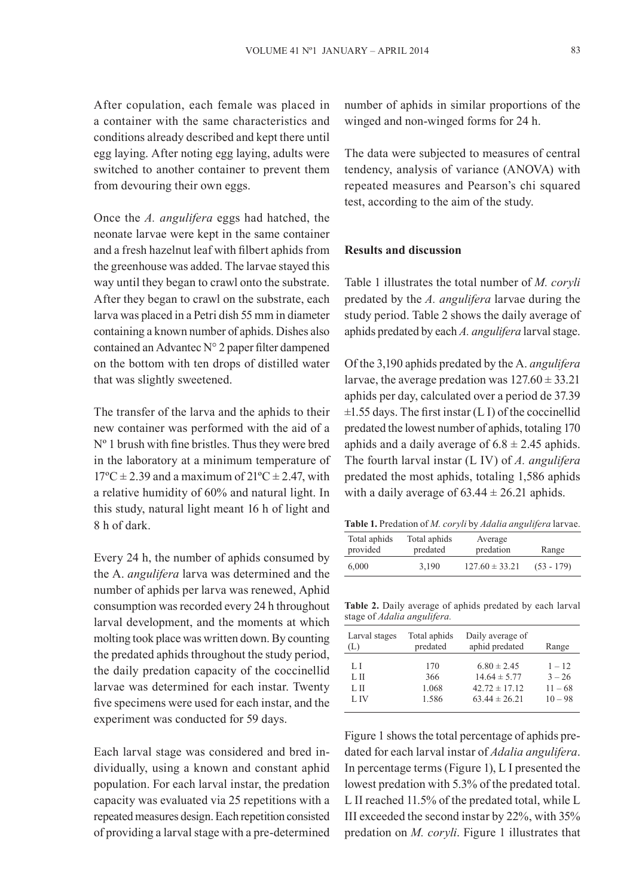After copulation, each female was placed in a container with the same characteristics and conditions already described and kept there until egg laying. After noting egg laying, adults were switched to another container to prevent them from devouring their own eggs.

Once the *A. angulifera* eggs had hatched, the neonate larvae were kept in the same container and a fresh hazelnut leaf with filbert aphids from the greenhouse was added. The larvae stayed this way until they began to crawl onto the substrate. After they began to crawl on the substrate, each larva was placed in a Petri dish 55 mm in diameter containing a known number of aphids. Dishes also contained an Advantec N° 2 paper filter dampened on the bottom with ten drops of distilled water that was slightly sweetened.

The transfer of the larva and the aphids to their new container was performed with the aid of a Nº 1 brush with fine bristles. Thus they were bred in the laboratory at a minimum temperature of  $17^{\circ}$ C  $\pm$  2.39 and a maximum of  $21^{\circ}$ C  $\pm$  2.47, with a relative humidity of 60% and natural light. In this study, natural light meant 16 h of light and 8 h of dark.

Every 24 h, the number of aphids consumed by the A. *angulifera* larva was determined and the number of aphids per larva was renewed, Aphid consumption was recorded every 24 h throughout larval development, and the moments at which molting took place was written down. By counting the predated aphids throughout the study period, the daily predation capacity of the coccinellid larvae was determined for each instar. Twenty five specimens were used for each instar, and the experiment was conducted for 59 days.

Each larval stage was considered and bred individually, using a known and constant aphid population. For each larval instar, the predation capacity was evaluated via 25 repetitions with a repeated measures design. Each repetition consisted of providing a larval stage with a pre-determined number of aphids in similar proportions of the winged and non-winged forms for 24 h.

The data were subjected to measures of central tendency, analysis of variance (ANOVA) with repeated measures and Pearson's chi squared test, according to the aim of the study.

# **Results and discussion**

Table 1 illustrates the total number of *M. coryli* predated by the *A. angulifera* larvae during the study period. Table 2 shows the daily average of aphids predated by each *A. angulifera* larval stage.

Of the 3,190 aphids predated by the A. *angulifera*  larvae, the average predation was  $127.60 \pm 33.21$ aphids per day, calculated over a period de 37.39  $\pm$ 1.55 days. The first instar (L I) of the coccinellid predated the lowest number of aphids, totaling 170 aphids and a daily average of  $6.8 \pm 2.45$  aphids. The fourth larval instar (L IV) of *A. angulifera*  predated the most aphids, totaling 1,586 aphids with a daily average of  $63.44 \pm 26.21$  aphids.

| <b>Table 1.</b> Predation of <i>M. coryli</i> by <i>Adalia angulifera</i> larvae. |  |  |
|-----------------------------------------------------------------------------------|--|--|
|                                                                                   |  |  |

| Total aphids | Total aphids | Average            | Range        |
|--------------|--------------|--------------------|--------------|
| provided     | predated     | predation          |              |
| 6.000        | 3.190        | $127.60 \pm 33.21$ | $(53 - 179)$ |

**Table 2.** Daily average of aphids predated by each larval stage of *Adalia angulifera.*

| Larval stages | Total aphids | Daily average of  | Range     |
|---------------|--------------|-------------------|-----------|
| (L)           | predated     | aphid predated    |           |
| LI            | 170          | $6.80 \pm 2.45$   | $1 - 12$  |
| L II          | 366          | $14.64 \pm 5.77$  | $3 - 26$  |
| LH            | 1.068        | $42.72 \pm 17.12$ | $11 - 68$ |
| L IV          | 1.586        | $63.44 \pm 26.21$ | $10 - 98$ |

Figure 1 shows the total percentage of aphids predated for each larval instar of *Adalia angulifera*. In percentage terms (Figure 1), L I presented the lowest predation with 5.3% of the predated total. L II reached 11.5% of the predated total, while L III exceeded the second instar by 22%, with 35% predation on *M. coryli*. Figure 1 illustrates that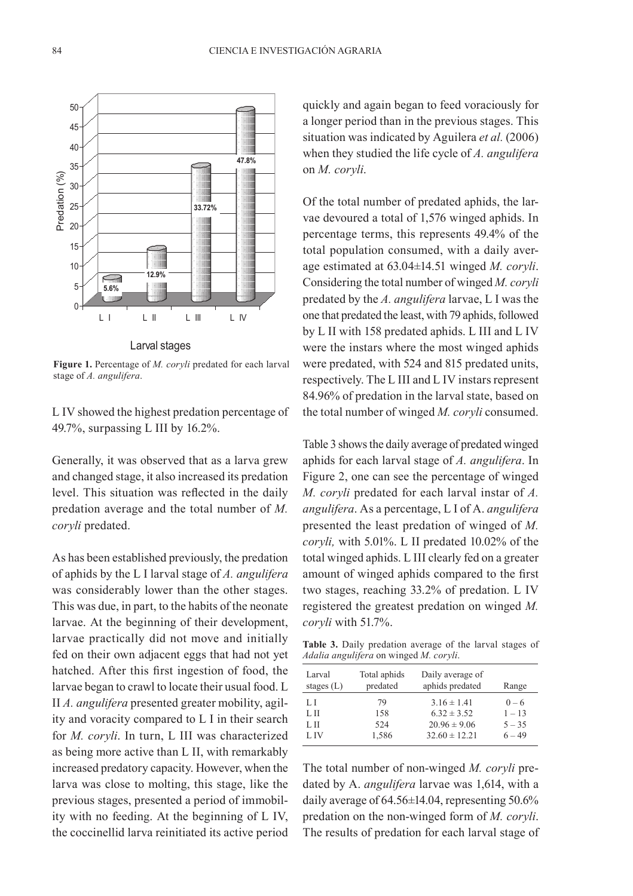

**Figure 1.** Percentage of *M. coryli* predated for each larval stage of *A. angulifera*.

L IV showed the highest predation percentage of 49.7%, surpassing L III by 16.2%.

Generally, it was observed that as a larva grew and changed stage, it also increased its predation level. This situation was reflected in the daily predation average and the total number of *M. coryli* predated.

As has been established previously, the predation of aphids by the L I larval stage of *A. angulifera*  was considerably lower than the other stages. This was due, in part, to the habits of the neonate larvae. At the beginning of their development, larvae practically did not move and initially fed on their own adjacent eggs that had not yet hatched. After this first ingestion of food, the larvae began to crawl to locate their usual food. L II *A. angulifera* presented greater mobility, agility and voracity compared to L I in their search for *M. coryli*. In turn, L III was characterized as being more active than L II, with remarkably increased predatory capacity. However, when the larva was close to molting, this stage, like the previous stages, presented a period of immobility with no feeding. At the beginning of L IV, the coccinellid larva reinitiated its active period

quickly and again began to feed voraciously for a longer period than in the previous stages. This situation was indicated by Aguilera *et al.* (2006) when they studied the life cycle of *A. angulifera* on *M. coryli*. 40

Of the total number of predated aphids, the larvae devoured a total of 1,576 winged aphids. In percentage terms, this represents 49.4% of the total population consumed, with a daily aver-20 age estimated at 63.04±14.51 winged *M. coryli*. Considering the total number of winged *M. coryli* 10 **10.0%** predated by the *A. angulifera* larvae, L I was the **5.0%** one that predated the least, with 79 aphids, followed 0 by L II with 158 predated aphids. L III and L IV were the instars where the most winged aphids were predated, with 524 and 815 predated units, respectively. The L III and L IV instars represent 84.96% of predation in the larval state, based on the total number of winged *M. coryli* consumed. pred<br>Predation<br>Predation (1)  $\mu$  icast, with  $\nu$  applies, followed

Table 3 shows the daily average of predated winged aphids for each larval stage of *A. angulifera*. In Figure 2, one can see the percentage of winged *M. coryli* predated for each larval instar of *A. angulifera*. As a percentage, L I of A. *angulifera*  presented the least predation of winged of *M. coryli,* with 5.01%. L II predated 10.02% of the total winged aphids. L III clearly fed on a greater amount of winged aphids compared to the first two stages, reaching 33.2% of predation. L IV registered the greatest predation on winged *M. coryli* with 51.7%.

**Table 3.** Daily predation average of the larval stages of *Adalia angulifera* on winged *M. coryli*.

| Larval       | Total aphids | Daily average of  | Range    |
|--------------|--------------|-------------------|----------|
| stages $(L)$ | predated     | aphids predated   |          |
| LI           | 79           | $3.16 \pm 1.41$   | $0 - 6$  |
| L II         | 158          | $6.32 \pm 3.52$   | $1 - 13$ |
| L II         | 524          | $20.96 \pm 9.06$  | $5 - 35$ |
| L IV         | 1,586        | $32.60 \pm 12.21$ | $6 - 49$ |

The total number of non-winged *M. coryli* predated by A. *angulifera* larvae was 1,614, with a daily average of 64.56±14.04, representing 50.6% predation on the non-winged form of *M. coryli*. The results of predation for each larval stage of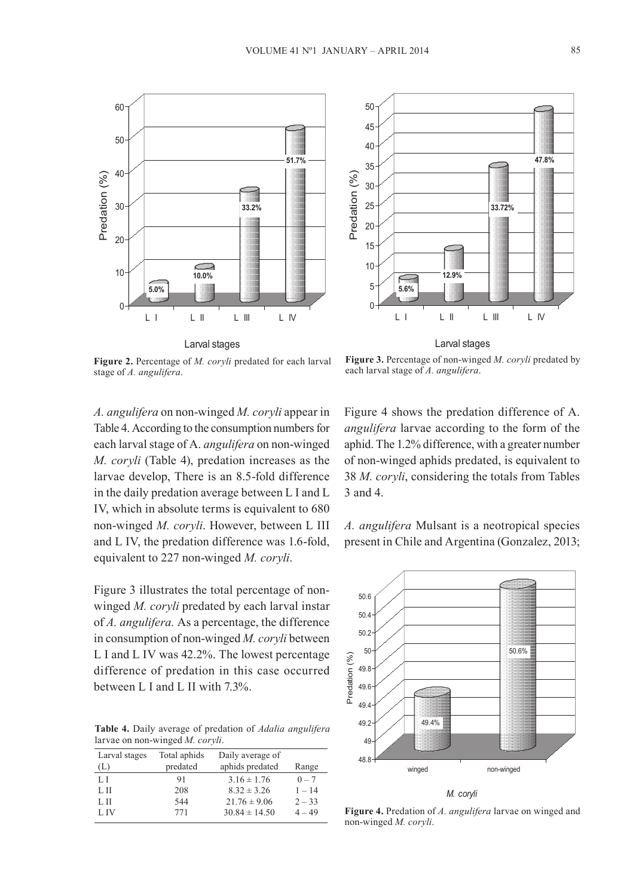



**Figure 2.** Percentage of *M. coryli* predated for each larval stage of *A. angulifera*.

**Figure 3.** Percentage of non-winged *M. coryli* predated by each larval stage of *A. angulifera*.

*A. angulifera* on non-winged *M. coryli* appear in Table 4. According to the consumption numbers for each larval stage of A. *angulifera* on non-winged *M. coryli* (Table 4), predation increases as the larvae develop, There is an 8.5-fold difference in the daily predation average between L I and L IV, which in absolute terms is equivalent to 680 non-winged *M. coryli*. However, between L III and L IV, the predation difference was 1.6-fold, equivalent to 227 non-winged *M. coryli*.

Figure 3 illustrates the total percentage of nonwinged *M. coryli* predated by each larval instar of *A. angulifera*. As a percentage, the difference in consumption of non-winged *M. coryli* between 35 L I and L IV was  $42.2\%$ . The lowest percentage difference of predation in this case occurred between L I and L II with 7.3%. **47.8%**

5 **5.6%** larvae on non-winged *M. coryli*. Table 4. Daily average of predation of *Adalia angulifera* 

| Larval stages | Total aphids | Daily average of  |          |
|---------------|--------------|-------------------|----------|
| (L)           | predated     | aphids predated   | Range    |
| LI            | 91           | $3.16 \pm 1.76$   | $0 - 7$  |
| L II          | 208          | $8.32 \pm 3.26$   | $1 - 14$ |
| L II          | 544          | $21.76 \pm 9.06$  | $2 - 33$ |
| L IV          | 771          | $30.84 \pm 14.50$ | $4 - 49$ |

Figure 4 shows the predation difference of A. *angulifera* larvae according to the form of the aphid. The 1.2% difference, with a greater number of non-winged aphids predated, is equivalent to 38 *M. coryli*, considering the totals from Tables 3 and 4.

*A. angulifera* Mulsant is a neotropical species present in Chile and Argentina (Gonzalez, 2013;



**Figure 4.** Predation of *A. angulifera* larvae on winged and non-winged *M. coryli*.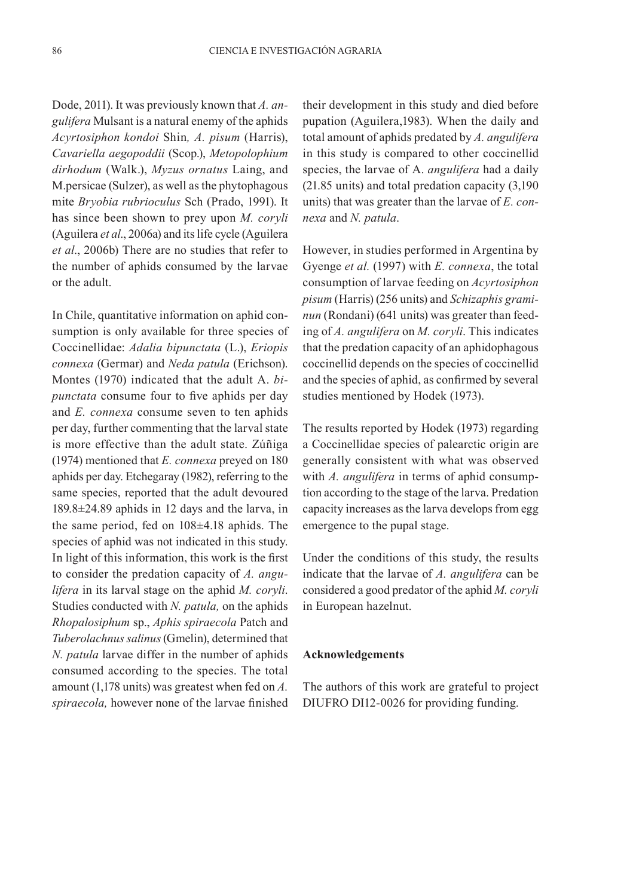Dode, 2011). It was previously known that *A. angulifera* Mulsant is a natural enemy of the aphids *Acyrtosiphon kondoi* Shin*, A. pisum* (Harris), *Cavariella aegopoddii* (Scop.), *Metopolophium dirhodum* (Walk.), *Myzus ornatus* Laing, and M.persicae (Sulzer), as well as the phytophagous mite *Bryobia rubrioculus* Sch (Prado, 1991). It has since been shown to prey upon *M. coryli* (Aguilera *et al*., 2006a) and its life cycle (Aguilera *et al*., 2006b) There are no studies that refer to the number of aphids consumed by the larvae or the adult.

In Chile, quantitative information on aphid consumption is only available for three species of Coccinellidae: *Adalia bipunctata* (L.), *Eriopis connexa* (Germar) and *Neda patula* (Erichson). Montes (1970) indicated that the adult A. *bipunctata* consume four to five aphids per day and *E. connexa* consume seven to ten aphids per day, further commenting that the larval state is more effective than the adult state. Zúñiga (1974) mentioned that *E. connexa* preyed on 180 aphids per day. Etchegaray (1982), referring to the same species, reported that the adult devoured 189.8±24.89 aphids in 12 days and the larva, in the same period, fed on 108±4.18 aphids. The species of aphid was not indicated in this study. In light of this information, this work is the first to consider the predation capacity of *A. angulifera* in its larval stage on the aphid *M. coryli*. Studies conducted with *N. patula,* on the aphids *Rhopalosiphum* sp., *Aphis spiraecola* Patch and *Tuberolachnus salinus* (Gmelin), determined that *N. patula* larvae differ in the number of aphids consumed according to the species. The total amount (1,178 units) was greatest when fed on *A. spiraecola,* however none of the larvae finished

their development in this study and died before pupation (Aguilera,1983). When the daily and total amount of aphids predated by *A. angulifera* in this study is compared to other coccinellid species, the larvae of A. *angulifera* had a daily (21.85 units) and total predation capacity (3,190 units) that was greater than the larvae of *E. connexa* and *N. patula*.

However, in studies performed in Argentina by Gyenge *et al.* (1997) with *E. connexa*, the total consumption of larvae feeding on *Acyrtosiphon pisum* (Harris) (256 units) and *Schizaphis graminun* (Rondani) (641 units) was greater than feeding of *A. angulifera* on *M. coryli*. This indicates that the predation capacity of an aphidophagous coccinellid depends on the species of coccinellid and the species of aphid, as confirmed by several studies mentioned by Hodek (1973).

The results reported by Hodek (1973) regarding a Coccinellidae species of palearctic origin are generally consistent with what was observed with *A. angulifera* in terms of aphid consumption according to the stage of the larva. Predation capacity increases as the larva develops from egg emergence to the pupal stage.

Under the conditions of this study, the results indicate that the larvae of *A. angulifera* can be considered a good predator of the aphid *M. coryli* in European hazelnut.

# **Acknowledgements**

The authors of this work are grateful to project DIUFRO DI12-0026 for providing funding.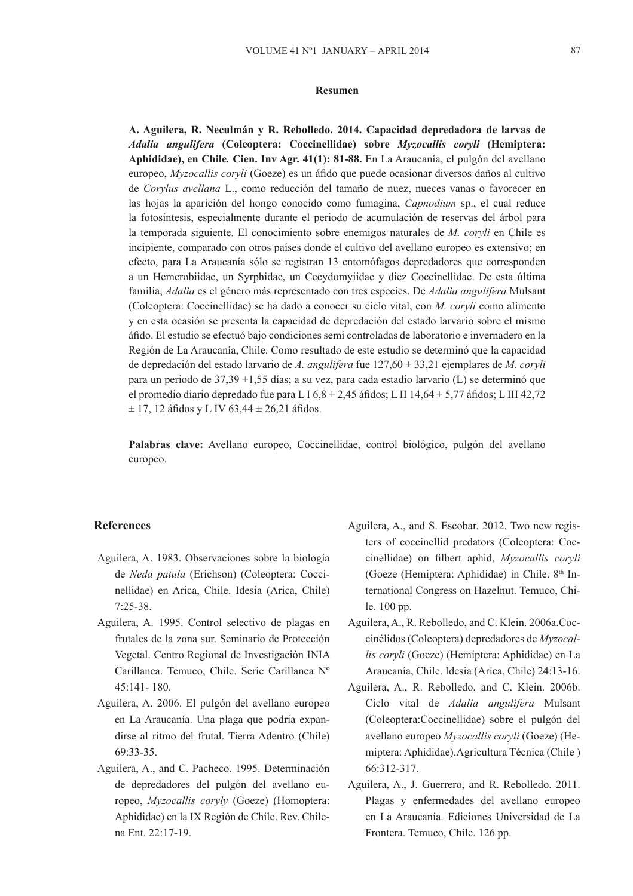#### **Resumen**

**A. Aguilera, R. Neculmán y R. Rebolledo. 2014. Capacidad depredadora de larvas de** *Adalia angulifera* **(Coleoptera: Coccinellidae) sobre** *Myzocallis coryli* **(Hemiptera: Aphididae), en Chile***.* **Cien. Inv Agr. 41(1): 81-88.** En La Araucanía, el pulgón del avellano europeo, *Myzocallis coryli* (Goeze) es un áfido que puede ocasionar diversos daños al cultivo de *Corylus avellana* L., como reducción del tamaño de nuez, nueces vanas o favorecer en las hojas la aparición del hongo conocido como fumagina, *Capnodium* sp., el cual reduce la fotosíntesis, especialmente durante el periodo de acumulación de reservas del árbol para la temporada siguiente. El conocimiento sobre enemigos naturales de *M. coryli* en Chile es incipiente, comparado con otros países donde el cultivo del avellano europeo es extensivo; en efecto, para La Araucanía sólo se registran 13 entomófagos depredadores que corresponden a un Hemerobiidae, un Syrphidae, un Cecydomyiidae y diez Coccinellidae. De esta última familia, *Adalia* es el género más representado con tres especies. De *Adalia angulifera* Mulsant (Coleoptera: Coccinellidae) se ha dado a conocer su ciclo vital, con *M. coryli* como alimento y en esta ocasión se presenta la capacidad de depredación del estado larvario sobre el mismo áfido. El estudio se efectuó bajo condiciones semi controladas de laboratorio e invernadero en la Región de La Araucanía, Chile. Como resultado de este estudio se determinó que la capacidad de depredación del estado larvario de *A. angulifera* fue 127,60 ± 33,21 ejemplares de *M. coryli* para un periodo de 37,39 ±1,55 días; a su vez, para cada estadio larvario (L) se determinó que el promedio diario depredado fue para L I 6,8  $\pm$  2,45 áfidos; L II 14,64  $\pm$  5,77 áfidos; L III 42,72  $\pm$  17, 12 áfidos y L IV 63,44  $\pm$  26,21 áfidos.

**Palabras clave:** Avellano europeo, Coccinellidae, control biológico, pulgón del avellano europeo.

# **References**

- Aguilera, A. 1983. Observaciones sobre la biología de *Neda patula* (Erichson) (Coleoptera: Coccinellidae) en Arica, Chile. Idesia (Arica, Chile) 7:25-38.
- Aguilera, A. 1995. Control selectivo de plagas en frutales de la zona sur. Seminario de Protección Vegetal. Centro Regional de Investigación INIA Carillanca. Temuco, Chile. Serie Carillanca Nº 45:141- 180.
- Aguilera, A. 2006. El pulgón del avellano europeo en La Araucanía. Una plaga que podría expandirse al ritmo del frutal. Tierra Adentro (Chile) 69:33-35.
- Aguilera, A., and C. Pacheco. 1995. Determinación de depredadores del pulgón del avellano europeo, *Myzocallis coryly* (Goeze) (Homoptera: Aphididae) en la IX Región de Chile. Rev. Chilena Ent. 22:17-19.
- Aguilera, A., and S. Escobar. 2012. Two new registers of coccinellid predators (Coleoptera: Coccinellidae) on filbert aphid, *Myzocallis coryli* (Goeze (Hemiptera: Aphididae) in Chile. 8<sup>th</sup> International Congress on Hazelnut. Temuco, Chile. 100 pp.
- Aguilera, A., R. Rebolledo, and C. Klein. 2006a.Coccinélidos (Coleoptera) depredadores de *Myzocallis coryli* (Goeze) (Hemiptera: Aphididae) en La Araucanía, Chile. Idesia (Arica, Chile) 24:13-16.
- Aguilera, A., R. Rebolledo, and C. Klein. 2006b. Ciclo vital de *Adalia angulifera* Mulsant (Coleoptera:Coccinellidae) sobre el pulgón del avellano europeo *Myzocallis coryli* (Goeze) (Hemiptera: Aphididae).Agricultura Técnica (Chile ) 66:312-317.
- Aguilera, A., J. Guerrero, and R. Rebolledo. 2011. Plagas y enfermedades del avellano europeo en La Araucanía. Ediciones Universidad de La Frontera. Temuco, Chile. 126 pp.